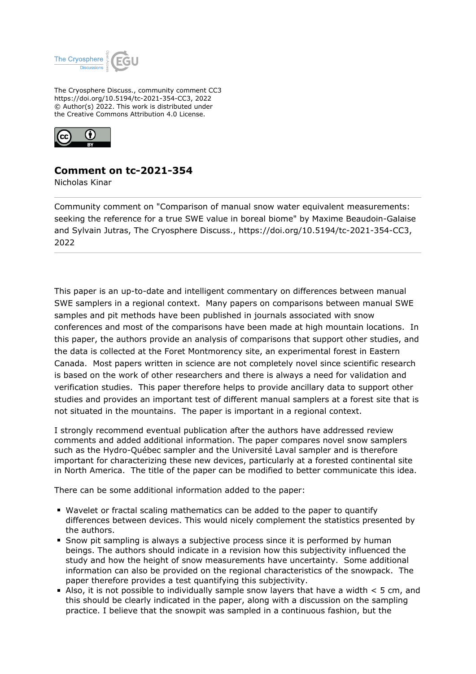

The Cryosphere Discuss., community comment CC3 https://doi.org/10.5194/tc-2021-354-CC3, 2022 © Author(s) 2022. This work is distributed under the Creative Commons Attribution 4.0 License.



## **Comment on tc-2021-354**

Nicholas Kinar

Community comment on "Comparison of manual snow water equivalent measurements: seeking the reference for a true SWE value in boreal biome" by Maxime Beaudoin-Galaise and Sylvain Jutras, The Cryosphere Discuss., https://doi.org/10.5194/tc-2021-354-CC3, 2022

This paper is an up-to-date and intelligent commentary on differences between manual SWE samplers in a regional context. Many papers on comparisons between manual SWE samples and pit methods have been published in journals associated with snow conferences and most of the comparisons have been made at high mountain locations. In this paper, the authors provide an analysis of comparisons that support other studies, and the data is collected at the Foret Montmorency site, an experimental forest in Eastern Canada. Most papers written in science are not completely novel since scientific research is based on the work of other researchers and there is always a need for validation and verification studies. This paper therefore helps to provide ancillary data to support other studies and provides an important test of different manual samplers at a forest site that is not situated in the mountains. The paper is important in a regional context.

I strongly recommend eventual publication after the authors have addressed review comments and added additional information. The paper compares novel snow samplers such as the Hydro-Québec sampler and the Université Laval sampler and is therefore important for characterizing these new devices, particularly at a forested continental site in North America. The title of the paper can be modified to better communicate this idea.

There can be some additional information added to the paper:

- Wavelet or fractal scaling mathematics can be added to the paper to quantify differences between devices. This would nicely complement the statistics presented by the authors.
- **S** Snow pit sampling is always a subjective process since it is performed by human beings. The authors should indicate in a revision how this subjectivity influenced the study and how the height of snow measurements have uncertainty. Some additional information can also be provided on the regional characteristics of the snowpack. The paper therefore provides a test quantifying this subjectivity.
- Also, it is not possible to individually sample snow layers that have a width  $\lt$  5 cm, and this should be clearly indicated in the paper, along with a discussion on the sampling practice. I believe that the snowpit was sampled in a continuous fashion, but the